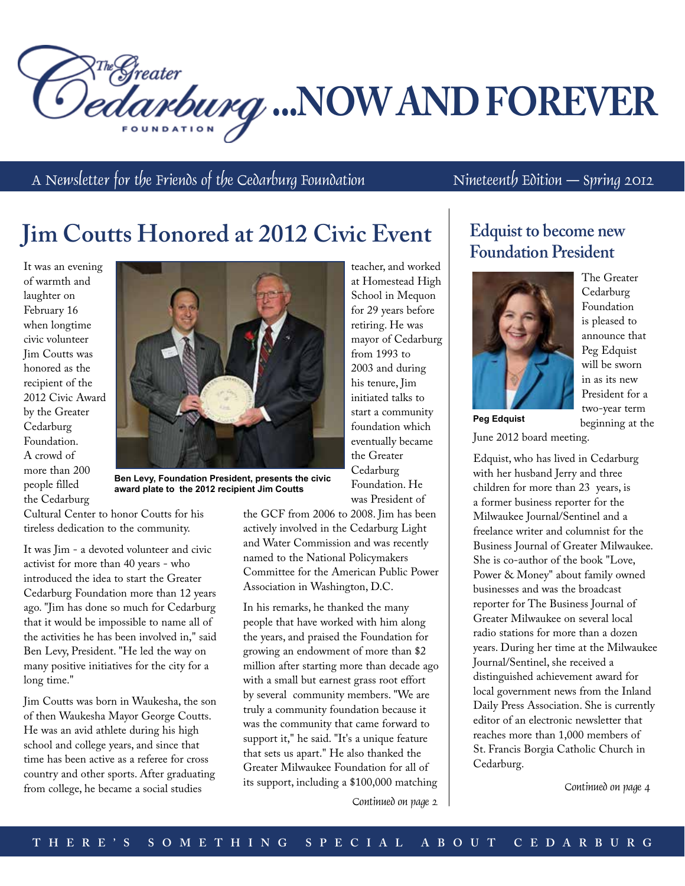*Pedarburg* ...NOW AND FOREVER

A Newsletter for the Friends of the Cedarburg Foundation Nineteenth Edition – Spring 2012

# **Jim Coutts Honored at 2012 Civic Event**

It was an evening of warmth and laughter on February 16 when longtime civic volunteer Jim Coutts was honored as the recipient of the 2012 Civic Award by the Greater Cedarburg Foundation. A crowd of more than 200 people filled the Cedarburg



**Ben Levy, Foundation President, presents the civic award plate to the 2012 recipient Jim Coutts**

Cultural Center to honor Coutts for his tireless dedication to the community.

It was Jim - a devoted volunteer and civic activist for more than 40 years - who introduced the idea to start the Greater Cedarburg Foundation more than 12 years ago. "Jim has done so much for Cedarburg that it would be impossible to name all of the activities he has been involved in," said Ben Levy, President. "He led the way on many positive initiatives for the city for a long time."

Jim Coutts was born in Waukesha, the son of then Waukesha Mayor George Coutts. He was an avid athlete during his high school and college years, and since that time has been active as a referee for cross country and other sports. After graduating from college, he became a social studies

the GCF from 2006 to 2008. Jim has been actively involved in the Cedarburg Light and Water Commission and was recently named to the National Policymakers Committee for the American Public Power Association in Washington, D.C.

In his remarks, he thanked the many people that have worked with him along the years, and praised the Foundation for growing an endowment of more than \$2 million after starting more than decade ago with a small but earnest grass root effort by several community members. "We are truly a community foundation because it was the community that came forward to support it," he said. "It's a unique feature that sets us apart." He also thanked the Greater Milwaukee Foundation for all of its support, including a \$100,000 matching

teacher, and worked at Homestead High School in Mequon for 29 years before retiring. He was mayor of Cedarburg from 1993 to 2003 and during his tenure, Jim initiated talks to start a community foundation which eventually became the Greater Cedarburg Foundation. He was President of

### **Edquist to become new Foundation President**



The Greater **Cedarburg** Foundation is pleased to announce that Peg Edquist will be sworn in as its new President for a two-year term beginning at the

June 2012 board meeting.

Edquist, who has lived in Cedarburg with her husband Jerry and three children for more than 23 years, is a former business reporter for the Milwaukee Journal/Sentinel and a freelance writer and columnist for the Business Journal of Greater Milwaukee. She is co-author of the book "Love, Power & Money" about family owned businesses and was the broadcast reporter for The Business Journal of Greater Milwaukee on several local radio stations for more than a dozen years. During her time at the Milwaukee Journal/Sentinel, she received a distinguished achievement award for local government news from the Inland Daily Press Association. She is currently editor of an electronic newsletter that reaches more than 1,000 members of St. Francis Borgia Catholic Church in Cedarburg.

Continued on page 4

Continued on page 2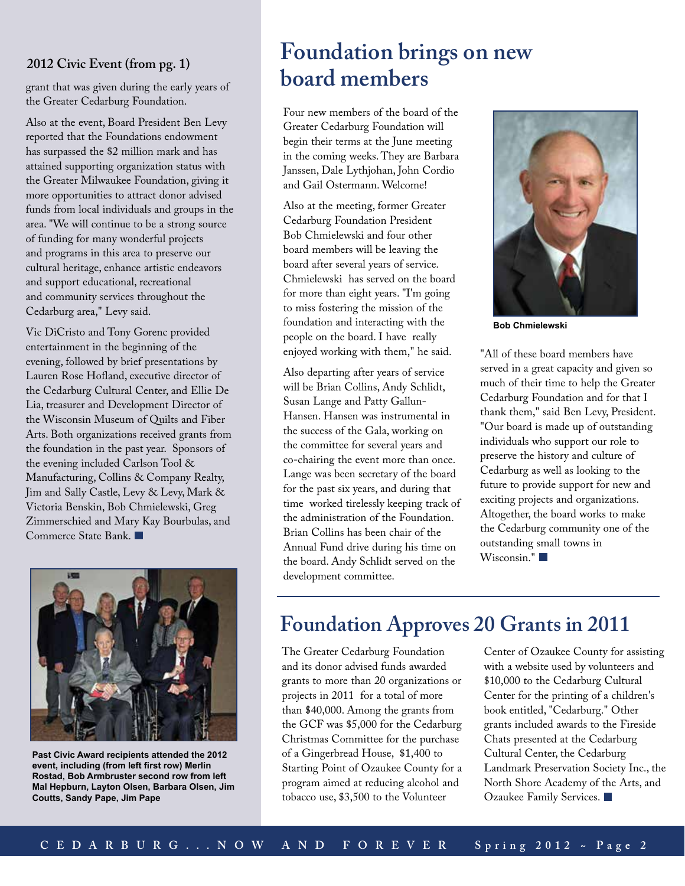### **2012 Civic Event (from pg. 1)**

grant that was given during the early years of the Greater Cedarburg Foundation.

Also at the event, Board President Ben Levy reported that the Foundations endowment has surpassed the \$2 million mark and has attained supporting organization status with the Greater Milwaukee Foundation, giving it more opportunities to attract donor advised funds from local individuals and groups in the area. "We will continue to be a strong source of funding for many wonderful projects and programs in this area to preserve our cultural heritage, enhance artistic endeavors and support educational, recreational and community services throughout the Cedarburg area," Levy said.

Vic DiCristo and Tony Gorenc provided entertainment in the beginning of the evening, followed by brief presentations by Lauren Rose Hofland, executive director of the Cedarburg Cultural Center, and Ellie De Lia, treasurer and Development Director of the Wisconsin Museum of Quilts and Fiber Arts. Both organizations received grants from the foundation in the past year. Sponsors of the evening included Carlson Tool & Manufacturing, Collins & Company Realty, Jim and Sally Castle, Levy & Levy, Mark & Victoria Benskin, Bob Chmielewski, Greg Zimmerschied and Mary Kay Bourbulas, and Commerce State Bank.



**Past Civic Award recipients attended the 2012 event, including (from left first row) Merlin Rostad, Bob Armbruster second row from left Mal Hepburn, Layton Olsen, Barbara Olsen, Jim Coutts, Sandy Pape, Jim Pape**

# **Foundation brings on new board members**

Four new members of the board of the Greater Cedarburg Foundation will begin their terms at the June meeting in the coming weeks. They are Barbara Janssen, Dale Lythjohan, John Cordio and Gail Ostermann. Welcome!

Also at the meeting, former Greater Cedarburg Foundation President Bob Chmielewski and four other board members will be leaving the board after several years of service. Chmielewski has served on the board for more than eight years. "I'm going to miss fostering the mission of the foundation and interacting with the people on the board. I have really enjoyed working with them," he said.

Also departing after years of service will be Brian Collins, Andy Schlidt, Susan Lange and Patty Gallun-Hansen. Hansen was instrumental in the success of the Gala, working on the committee for several years and co-chairing the event more than once. Lange was been secretary of the board for the past six years, and during that time worked tirelessly keeping track of the administration of the Foundation. Brian Collins has been chair of the Annual Fund drive during his time on the board. Andy Schlidt served on the development committee.



**Bob Chmielewski**

"All of these board members have served in a great capacity and given so much of their time to help the Greater Cedarburg Foundation and for that I thank them," said Ben Levy, President. "Our board is made up of outstanding individuals who support our role to preserve the history and culture of Cedarburg as well as looking to the future to provide support for new and exciting projects and organizations. Altogether, the board works to make the Cedarburg community one of the outstanding small towns in Wisconsin."

## **Foundation Approves 20 Grants in 2011**

The Greater Cedarburg Foundation and its donor advised funds awarded grants to more than 20 organizations or projects in 2011 for a total of more than \$40,000. Among the grants from the GCF was \$5,000 for the Cedarburg Christmas Committee for the purchase of a Gingerbread House, \$1,400 to Starting Point of Ozaukee County for a program aimed at reducing alcohol and tobacco use, \$3,500 to the Volunteer

Center of Ozaukee County for assisting with a website used by volunteers and \$10,000 to the Cedarburg Cultural Center for the printing of a children's book entitled, "Cedarburg." Other grants included awards to the Fireside Chats presented at the Cedarburg Cultural Center, the Cedarburg Landmark Preservation Society Inc., the North Shore Academy of the Arts, and Ozaukee Family Services.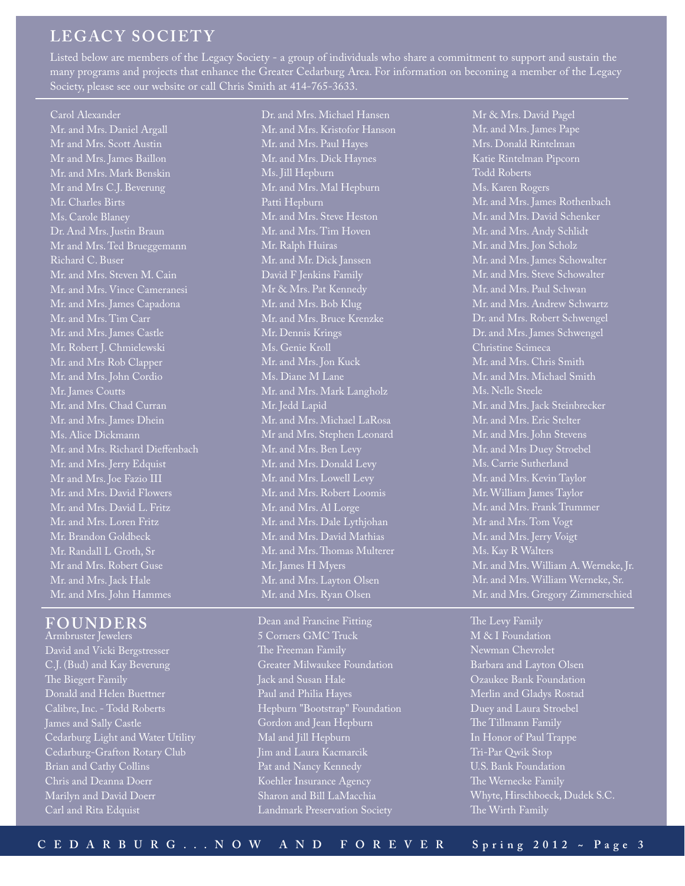### **LEGACY SOCIETY**

Listed below are members of the Legacy Society - a group of individuals who share a commitment to support and sustain the many programs and projects that enhance the Greater Cedarburg Area. For information on becoming a member of the Legacy Society, please see our website or call Chris Smith at 414-765-3633.

#### Carol Alexander

Mr. and Mrs. Daniel Argall Mr and Mrs. Scott Austin Mr and Mrs. James Baillon Mr. and Mrs. Mark Benskin Mr and Mrs C.J. Beverung Mr. Charles Birts Ms. Carole Blaney Dr. And Mrs. Justin Braun Mr and Mrs. Ted Brueggemann Richard C. Buser Mr. and Mrs. Steven M. Cain Mr. and Mrs. Vince Cameranesi Mr. and Mrs. James Capadona Mr. and Mrs. Tim Carr Mr. and Mrs. James Castle Mr. Robert J. Chmielewski Mr. and Mrs Rob Clapper Mr. and Mrs. John Cordio Mr. James Coutts Mr. and Mrs. Chad Curran Mr. and Mrs. James Dhein Ms. Alice Dickmann Mr. and Mrs. Richard Dieffenbach Mr. and Mrs. Jerry Edquist Mr and Mrs. Joe Fazio III Mr. and Mrs. David Flowers Mr. and Mrs. David L. Fritz Mr. and Mrs. Loren Fritz Mr. Brandon Goldbeck Mr. Randall L Groth, Sr Mr and Mrs. Robert Guse Mr. and Mrs. Jack Hale Mr. and Mrs. John Hammes

#### **FOUNDERS**

Armbruster Jewelers David and Vicki Bergstresser C.J. (Bud) and Kay Beverung The Biegert Family Donald and Helen Buettner Calibre, Inc. - Todd Roberts James and Sally Castle Cedarburg Light and Water Utility Cedarburg-Grafton Rotary Club Brian and Cathy Collins Chris and Deanna Doerr Marilyn and David Doerr Carl and Rita Edquist

Dr. and Mrs. Michael Hansen Mr. and Mrs. Kristofor Hanson Mr. and Mrs. Paul Hayes Mr. and Mrs. Dick Haynes Ms. Jill Hepburn Mr. and Mrs. Mal Hepburn Patti Hepburn Mr. and Mrs. Steve Heston Mr. and Mrs. Tim Hoven Mr. Ralph Huiras Mr. and Mr. Dick Janssen David F Jenkins Family Mr & Mrs. Pat Kennedy Mr. and Mrs. Bob Klug Mr. and Mrs. Bruce Krenzke Mr. Dennis Krings Ms. Genie Kroll Mr. and Mrs. Jon Kuck Ms. Diane M Lane Mr. and Mrs. Mark Langholz Mr. Jedd Lapid Mr. and Mrs. Michael LaRosa Mr and Mrs. Stephen Leonard Mr. and Mrs. Ben Levy Mr. and Mrs. Donald Levy Mr. and Mrs. Lowell Levy Mr. and Mrs. Robert Loomis Mr. and Mrs. Al Lorge Mr. and Mrs. Dale Lythjohan Mr. and Mrs. David Mathias Mr. and Mrs. Thomas Multerer Mr. James H Myers Mr. and Mrs. Layton Olsen Mr. and Mrs. Ryan Olsen

Dean and Francine Fitting 5 Corners GMC Truck The Freeman Family Greater Milwaukee Foundation Jack and Susan Hale Paul and Philia Hayes Hepburn "Bootstrap" Foundation Gordon and Jean Hepburn Mal and Jill Hepburn Jim and Laura Kacmarcik Pat and Nancy Kennedy Koehler Insurance Agency Sharon and Bill LaMacchia Landmark Preservation Society

Mr & Mrs. David Pagel Mr. and Mrs. James Pape Mrs. Donald Rintelman Katie Rintelman Pipcorn Todd Roberts Ms. Karen Rogers Mr. and Mrs. James Rothenbach Mr. and Mrs. David Schenker Mr. and Mrs. Andy Schlidt Mr. and Mrs. Jon Scholz Mr. and Mrs. James Schowalter Mr. and Mrs. Steve Schowalter Mr. and Mrs. Paul Schwan Mr. and Mrs. Andrew Schwartz Dr. and Mrs. Robert Schwengel Dr. and Mrs. James Schwengel Christine Scimeca Mr. and Mrs. Chris Smith Mr. and Mrs. Michael Smith Ms. Nelle Steele Mr. and Mrs. Jack Steinbrecker Mr. and Mrs. Eric Stelter Mr. and Mrs. John Stevens Mr. and Mrs Duey Stroebel Ms. Carrie Sutherland Mr. and Mrs. Kevin Taylor Mr. William James Taylor Mr. and Mrs. Frank Trummer Mr and Mrs. Tom Vogt Mr. and Mrs. Jerry Voigt Ms. Kay R Walters Mr. and Mrs. William A. Werneke, Jr. Mr. and Mrs. William Werneke, Sr. Mr. and Mrs. Gregory Zimmerschied

M & I Foundation Newman Chevrolet Barbara and Layton Olsen Ozaukee Bank Foundation Merlin and Gladys Rostad Duey and Laura Stroebel The Tillmann Family In Honor of Paul Trappe Tri-Par Qwik Stop U.S. Bank Foundation The Wernecke Family Whyte, Hirschboeck, Dudek S.C. The Wirth Family